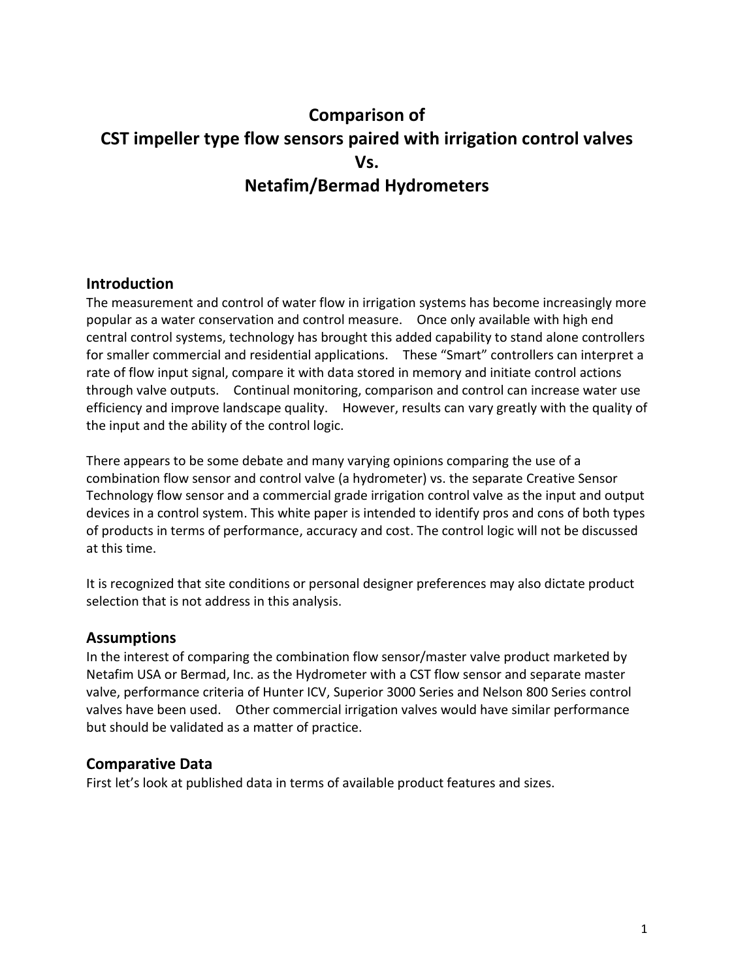# **Comparison of CST impeller type flow sensors paired with irrigation control valves Vs. Netafim/Bermad Hydrometers**

# **Introduction**

The measurement and control of water flow in irrigation systems has become increasingly more popular as a water conservation and control measure. Once only available with high end central control systems, technology has brought this added capability to stand alone controllers for smaller commercial and residential applications. These "Smart" controllers can interpret a rate of flow input signal, compare it with data stored in memory and initiate control actions through valve outputs. Continual monitoring, comparison and control can increase water use efficiency and improve landscape quality. However, results can vary greatly with the quality of the input and the ability of the control logic.

There appears to be some debate and many varying opinions comparing the use of a combination flow sensor and control valve (a hydrometer) vs. the separate Creative Sensor Technology flow sensor and a commercial grade irrigation control valve as the input and output devices in a control system. This white paper is intended to identify pros and cons of both types of products in terms of performance, accuracy and cost. The control logic will not be discussed at this time.

It is recognized that site conditions or personal designer preferences may also dictate product selection that is not address in this analysis.

# **Assumptions**

In the interest of comparing the combination flow sensor/master valve product marketed by Netafim USA or Bermad, Inc. as the Hydrometer with a CST flow sensor and separate master valve, performance criteria of Hunter ICV, Superior 3000 Series and Nelson 800 Series control valves have been used. Other commercial irrigation valves would have similar performance but should be validated as a matter of practice.

# **Comparative Data**

First let's look at published data in terms of available product features and sizes.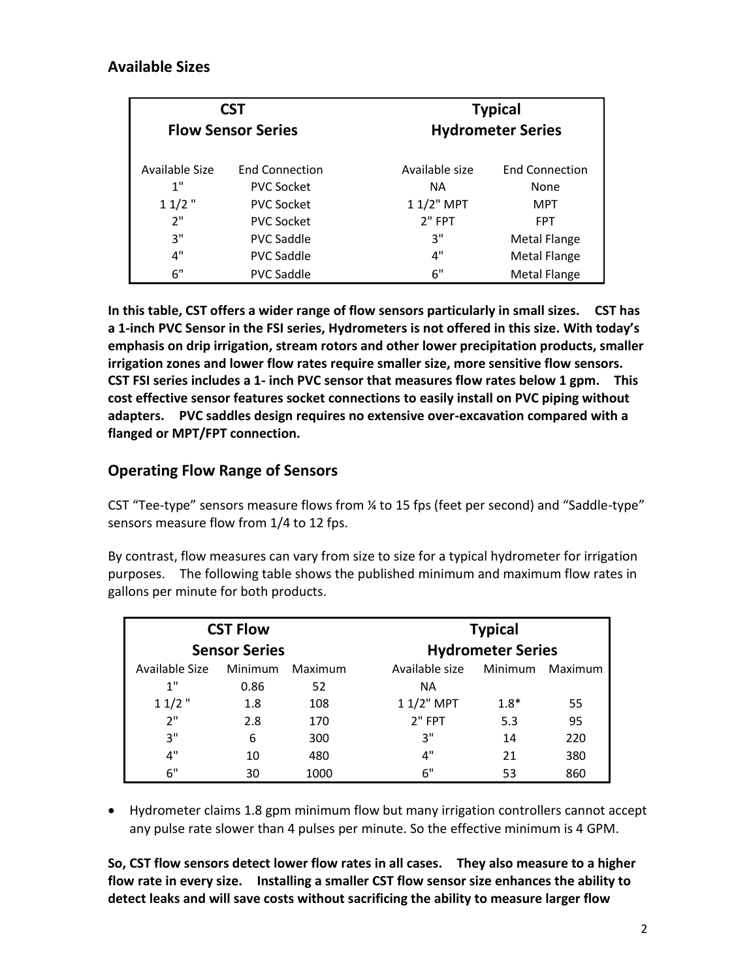|                | <b>CST</b><br><b>Flow Sensor Series</b> | <b>Typical</b><br><b>Hydrometer Series</b> |                       |  |
|----------------|-----------------------------------------|--------------------------------------------|-----------------------|--|
| Available Size | <b>Fnd Connection</b>                   | Available size                             | <b>End Connection</b> |  |
| 1"             | <b>PVC Socket</b>                       | <b>NA</b>                                  | None                  |  |
| $11/2$ "       | <b>PVC Socket</b>                       | 1 1/2" MPT                                 | <b>MPT</b>            |  |
| 2"             | <b>PVC Socket</b>                       | $2"$ FPT                                   | <b>FPT</b>            |  |
| 3"             | <b>PVC Saddle</b>                       | 3"                                         | <b>Metal Flange</b>   |  |
| 4"             | <b>PVC Saddle</b>                       | 4"                                         | <b>Metal Flange</b>   |  |
| 6"             | <b>PVC Saddle</b>                       | 6"                                         | <b>Metal Flange</b>   |  |

**In this table, CST offers a wider range of flow sensors particularly in small sizes. CST has a 1-inch PVC Sensor in the FSI series, Hydrometers is not offered in this size. With today's emphasis on drip irrigation, stream rotors and other lower precipitation products, smaller irrigation zones and lower flow rates require smaller size, more sensitive flow sensors. CST FSI series includes a 1- inch PVC sensor that measures flow rates below 1 gpm. This cost effective sensor features socket connections to easily install on PVC piping without adapters. PVC saddles design requires no extensive over-excavation compared with a flanged or MPT/FPT connection.** 

# **Operating Flow Range of Sensors**

CST "Tee-type" sensors measure flows from ¼ to 15 fps (feet per second) and "Saddle-type" sensors measure flow from 1/4 to 12 fps.

By contrast, flow measures can vary from size to size for a typical hydrometer for irrigation purposes. The following table shows the published minimum and maximum flow rates in gallons per minute for both products.

| <b>CST Flow</b>      |         |         | <b>Typical</b>           |         |         |  |
|----------------------|---------|---------|--------------------------|---------|---------|--|
| <b>Sensor Series</b> |         |         | <b>Hydrometer Series</b> |         |         |  |
| Available Size       | Minimum | Maximum | Available size           | Minimum | Maximum |  |
| 1"                   | 0.86    | 52      | <b>NA</b>                |         |         |  |
| $11/2$ "             | 1.8     | 108     | $11/2$ " MPT             | $1.8*$  | 55      |  |
| 2"                   | 2.8     | 170     | $2"$ FPT                 | 5.3     | 95      |  |
| 3"                   | 6       | 300     | 3"                       | 14      | 220     |  |
| 4"                   | 10      | 480     | 4"                       | 21      | 380     |  |
| 6"                   | 30      | 1000    | 6"                       | 53      | 860     |  |

 Hydrometer claims 1.8 gpm minimum flow but many irrigation controllers cannot accept any pulse rate slower than 4 pulses per minute. So the effective minimum is 4 GPM.

**So, CST flow sensors detect lower flow rates in all cases. They also measure to a higher flow rate in every size. Installing a smaller CST flow sensor size enhances the ability to detect leaks and will save costs without sacrificing the ability to measure larger flow**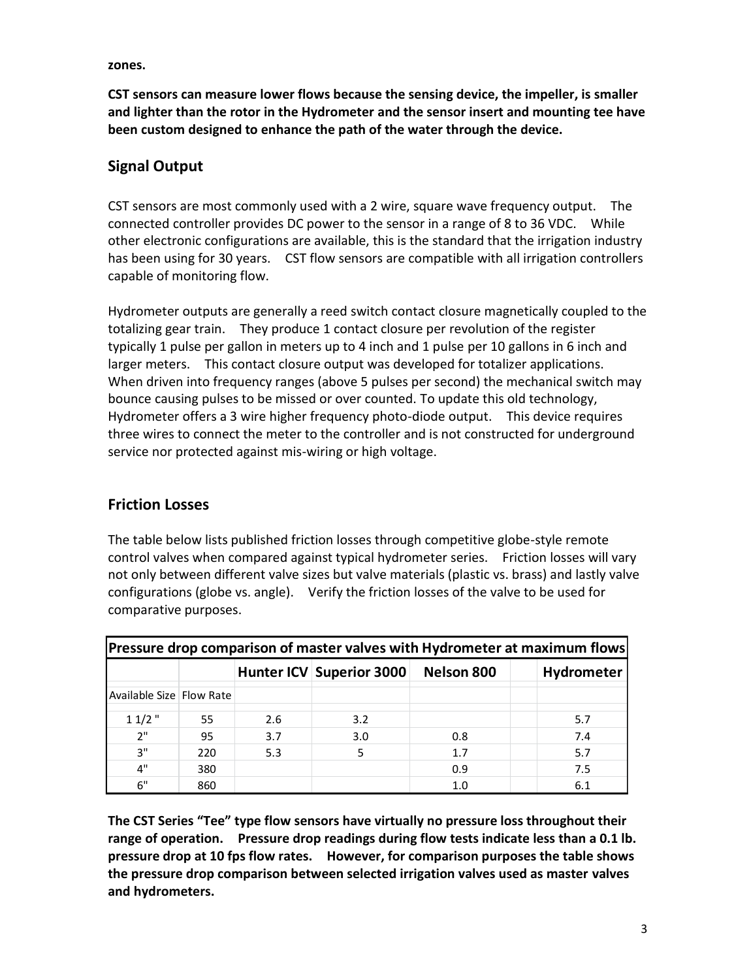**zones.** 

**CST sensors can measure lower flows because the sensing device, the impeller, is smaller and lighter than the rotor in the Hydrometer and the sensor insert and mounting tee have been custom designed to enhance the path of the water through the device.** 

# **Signal Output**

CST sensors are most commonly used with a 2 wire, square wave frequency output. The connected controller provides DC power to the sensor in a range of 8 to 36 VDC. While other electronic configurations are available, this is the standard that the irrigation industry has been using for 30 years. CST flow sensors are compatible with all irrigation controllers capable of monitoring flow.

Hydrometer outputs are generally a reed switch contact closure magnetically coupled to the totalizing gear train. They produce 1 contact closure per revolution of the register typically 1 pulse per gallon in meters up to 4 inch and 1 pulse per 10 gallons in 6 inch and larger meters. This contact closure output was developed for totalizer applications. When driven into frequency ranges (above 5 pulses per second) the mechanical switch may bounce causing pulses to be missed or over counted. To update this old technology, Hydrometer offers a 3 wire higher frequency photo-diode output. This device requires three wires to connect the meter to the controller and is not constructed for underground service nor protected against mis-wiring or high voltage.

# **Friction Losses**

The table below lists published friction losses through competitive globe-style remote control valves when compared against typical hydrometer series. Friction losses will vary not only between different valve sizes but valve materials (plastic vs. brass) and lastly valve configurations (globe vs. angle). Verify the friction losses of the valve to be used for comparative purposes.

| Pressure drop comparison of master valves with Hydrometer at maximum flows |     |     |                          |                   |            |  |  |  |
|----------------------------------------------------------------------------|-----|-----|--------------------------|-------------------|------------|--|--|--|
|                                                                            |     |     | Hunter ICV Superior 3000 | <b>Nelson 800</b> | Hydrometer |  |  |  |
| Available Size   Flow Rate                                                 |     |     |                          |                   |            |  |  |  |
| $11/2$ "                                                                   | 55. | 2.6 | 3.2                      |                   | 5.7        |  |  |  |
| 2"                                                                         | 95  | 3.7 | 3.0                      | 0.8               | 7.4        |  |  |  |
| 3"                                                                         | 220 | 5.3 | 5                        | 1.7               | 5.7        |  |  |  |
| 4"                                                                         | 380 |     |                          | 0.9               | 7.5        |  |  |  |
| 6"                                                                         | 860 |     |                          | 1.0               | 6.1        |  |  |  |

**The CST Series "Tee" type flow sensors have virtually no pressure loss throughout their range of operation. Pressure drop readings during flow tests indicate less than a 0.1 lb. pressure drop at 10 fps flow rates. However, for comparison purposes the table shows the pressure drop comparison between selected irrigation valves used as master valves and hydrometers.**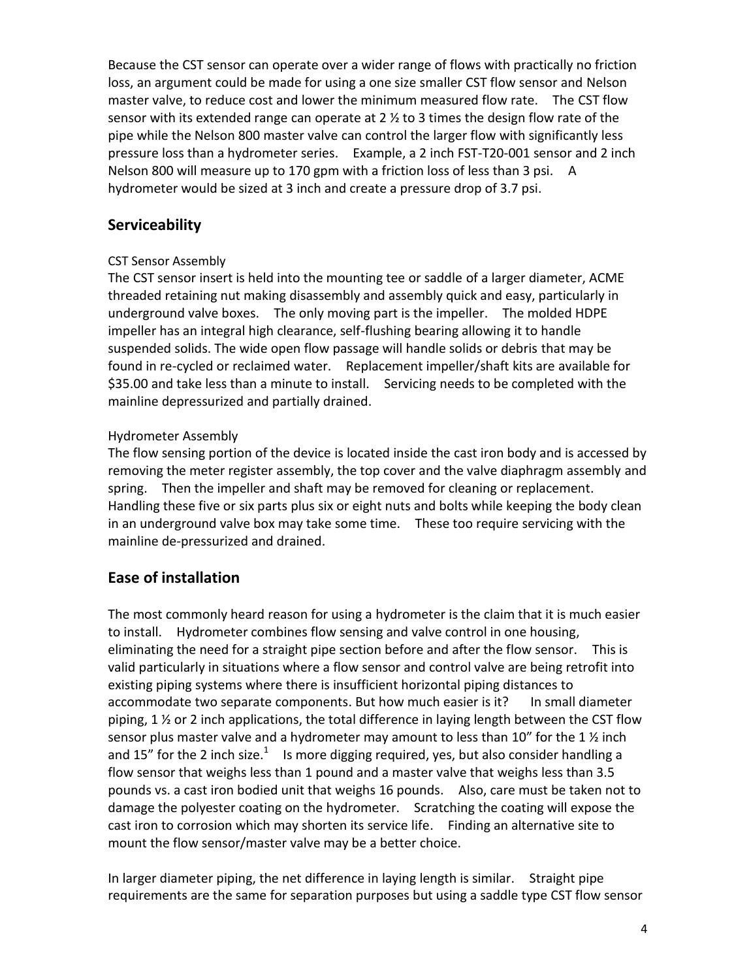Because the CST sensor can operate over a wider range of flows with practically no friction loss, an argument could be made for using a one size smaller CST flow sensor and Nelson master valve, to reduce cost and lower the minimum measured flow rate. The CST flow sensor with its extended range can operate at 2  $\frac{1}{2}$  to 3 times the design flow rate of the pipe while the Nelson 800 master valve can control the larger flow with significantly less pressure loss than a hydrometer series. Example, a 2 inch FST-T20-001 sensor and 2 inch Nelson 800 will measure up to 170 gpm with a friction loss of less than 3 psi. A hydrometer would be sized at 3 inch and create a pressure drop of 3.7 psi.

# **Serviceability**

#### CST Sensor Assembly

The CST sensor insert is held into the mounting tee or saddle of a larger diameter, ACME threaded retaining nut making disassembly and assembly quick and easy, particularly in underground valve boxes. The only moving part is the impeller. The molded HDPE impeller has an integral high clearance, self-flushing bearing allowing it to handle suspended solids. The wide open flow passage will handle solids or debris that may be found in re-cycled or reclaimed water. Replacement impeller/shaft kits are available for \$35.00 and take less than a minute to install. Servicing needs to be completed with the mainline depressurized and partially drained.

#### Hydrometer Assembly

The flow sensing portion of the device is located inside the cast iron body and is accessed by removing the meter register assembly, the top cover and the valve diaphragm assembly and spring. Then the impeller and shaft may be removed for cleaning or replacement. Handling these five or six parts plus six or eight nuts and bolts while keeping the body clean in an underground valve box may take some time. These too require servicing with the mainline de-pressurized and drained.

# **Ease of installation**

The most commonly heard reason for using a hydrometer is the claim that it is much easier to install. Hydrometer combines flow sensing and valve control in one housing, eliminating the need for a straight pipe section before and after the flow sensor. This is valid particularly in situations where a flow sensor and control valve are being retrofit into existing piping systems where there is insufficient horizontal piping distances to accommodate two separate components. But how much easier is it? In small diameter piping,  $1\frac{1}{2}$  or 2 inch applications, the total difference in laying length between the CST flow sensor plus master valve and a hydrometer may amount to less than  $10''$  for the  $1\,\%$  inch and 15" for the 2 inch size.<sup>1</sup> Is more digging required, yes, but also consider handling a flow sensor that weighs less than 1 pound and a master valve that weighs less than 3.5 pounds vs. a cast iron bodied unit that weighs 16 pounds. Also, care must be taken not to damage the polyester coating on the hydrometer. Scratching the coating will expose the cast iron to corrosion which may shorten its service life. Finding an alternative site to mount the flow sensor/master valve may be a better choice.

In larger diameter piping, the net difference in laying length is similar. Straight pipe requirements are the same for separation purposes but using a saddle type CST flow sensor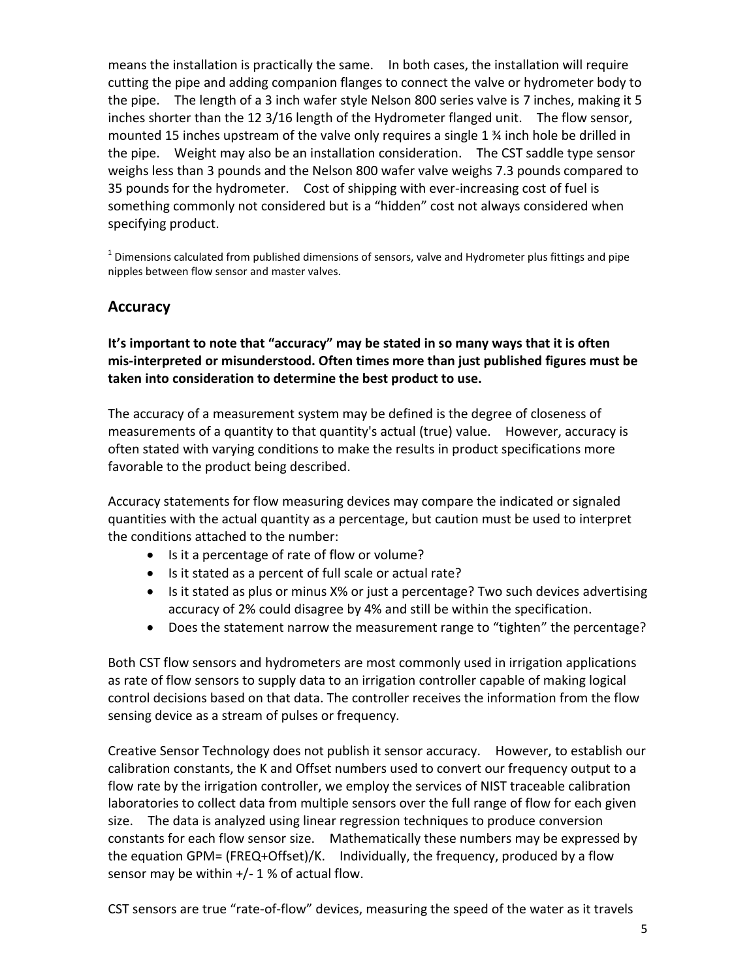means the installation is practically the same. In both cases, the installation will require cutting the pipe and adding companion flanges to connect the valve or hydrometer body to the pipe. The length of a 3 inch wafer style Nelson 800 series valve is 7 inches, making it 5 inches shorter than the 12 3/16 length of the Hydrometer flanged unit. The flow sensor, mounted 15 inches upstream of the valve only requires a single 1 ¾ inch hole be drilled in the pipe. Weight may also be an installation consideration. The CST saddle type sensor weighs less than 3 pounds and the Nelson 800 wafer valve weighs 7.3 pounds compared to 35 pounds for the hydrometer. Cost of shipping with ever-increasing cost of fuel is something commonly not considered but is a "hidden" cost not always considered when specifying product.

 $^1$  Dimensions calculated from published dimensions of sensors, valve and Hydrometer plus fittings and pipe nipples between flow sensor and master valves.

#### **Accuracy**

**It's important to note that "accuracy" may be stated in so many ways that it is often mis-interpreted or misunderstood. Often times more than just published figures must be taken into consideration to determine the best product to use.**

The accuracy of a [measurement](http://en.wikipedia.org/wiki/Measurement) system may be defined is the degree of closeness of measurements of a [quantity](http://en.wikipedia.org/wiki/Quantity) to that quantity's actual (true) [value.](http://en.wikipedia.org/wiki/Value_(mathematics)) However, accuracy is often stated with varying conditions to make the results in product specifications more favorable to the product being described.

Accuracy statements for flow measuring devices may compare the indicated or signaled quantities with the actual quantity as a percentage, but caution must be used to interpret the conditions attached to the number:

- Is it a percentage of rate of flow or volume?
- Is it stated as a percent of full scale or actual rate?
- Is it stated as plus or minus X% or just a percentage? Two such devices advertising accuracy of 2% could disagree by 4% and still be within the specification.
- Does the statement narrow the measurement range to "tighten" the percentage?

Both CST flow sensors and hydrometers are most commonly used in irrigation applications as rate of flow sensors to supply data to an irrigation controller capable of making logical control decisions based on that data. The controller receives the information from the flow sensing device as a stream of pulses or frequency.

Creative Sensor Technology does not publish it sensor accuracy. However, to establish our calibration constants, the K and Offset numbers used to convert our frequency output to a flow rate by the irrigation controller, we employ the services of NIST traceable calibration laboratories to collect data from multiple sensors over the full range of flow for each given size. The data is analyzed using linear regression techniques to produce conversion constants for each flow sensor size. Mathematically these numbers may be expressed by the equation GPM= (FREQ+Offset)/K. Individually, the frequency, produced by a flow sensor may be within  $+/- 1$  % of actual flow.

CST sensors are true "rate-of-flow" devices, measuring the speed of the water as it travels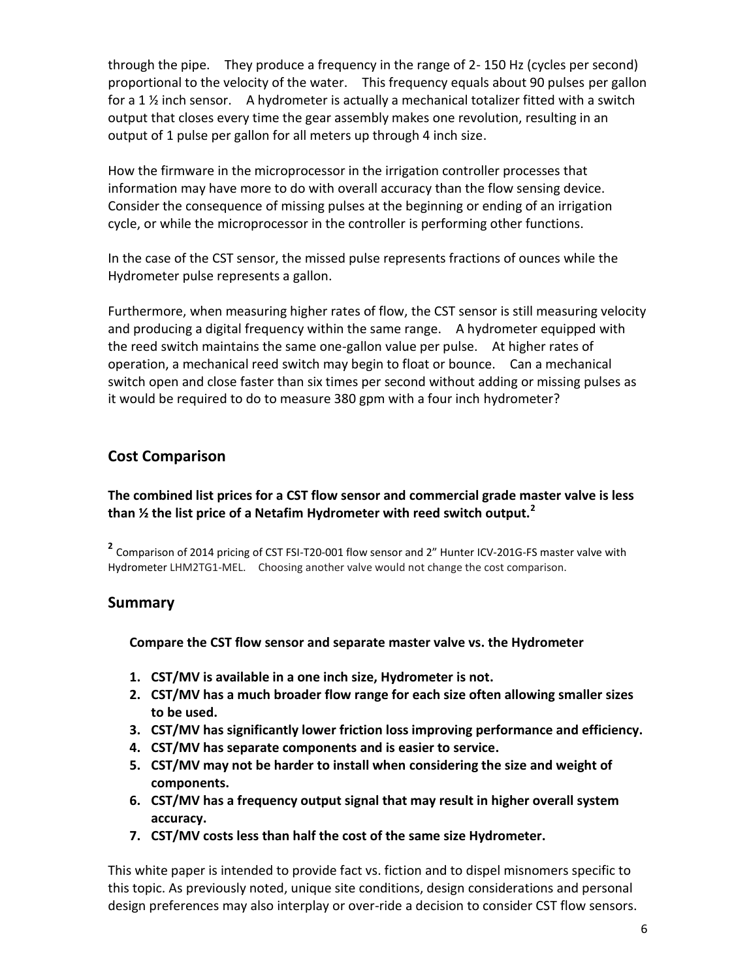through the pipe. They produce a frequency in the range of 2- 150 Hz (cycles per second) proportional to the velocity of the water. This frequency equals about 90 pulses per gallon for a 1  $\frac{1}{2}$  inch sensor. A hydrometer is actually a mechanical totalizer fitted with a switch output that closes every time the gear assembly makes one revolution, resulting in an output of 1 pulse per gallon for all meters up through 4 inch size.

How the firmware in the microprocessor in the irrigation controller processes that information may have more to do with overall accuracy than the flow sensing device. Consider the consequence of missing pulses at the beginning or ending of an irrigation cycle, or while the microprocessor in the controller is performing other functions.

In the case of the CST sensor, the missed pulse represents fractions of ounces while the Hydrometer pulse represents a gallon.

Furthermore, when measuring higher rates of flow, the CST sensor is still measuring velocity and producing a digital frequency within the same range. A hydrometer equipped with the reed switch maintains the same one-gallon value per pulse. At higher rates of operation, a mechanical reed switch may begin to float or bounce. Can a mechanical switch open and close faster than six times per second without adding or missing pulses as it would be required to do to measure 380 gpm with a four inch hydrometer?

# **Cost Comparison**

#### **The combined list prices for a CST flow sensor and commercial grade master valve is less than ½ the list price of a Netafim Hydrometer with reed switch output.<sup>2</sup>**

**2** Comparison of 2014 pricing of CST FSI-T20-001 flow sensor and 2" Hunter ICV-201G-FS master valve with Hydrometer LHM2TG1-MEL. Choosing another valve would not change the cost comparison.

#### **Summary**

#### **Compare the CST flow sensor and separate master valve vs. the Hydrometer**

- **1. CST/MV is available in a one inch size, Hydrometer is not.**
- **2. CST/MV has a much broader flow range for each size often allowing smaller sizes to be used.**
- **3. CST/MV has significantly lower friction loss improving performance and efficiency.**
- **4. CST/MV has separate components and is easier to service.**
- **5. CST/MV may not be harder to install when considering the size and weight of components.**
- **6. CST/MV has a frequency output signal that may result in higher overall system accuracy.**
- **7. CST/MV costs less than half the cost of the same size Hydrometer.**

This white paper is intended to provide fact vs. fiction and to dispel misnomers specific to this topic. As previously noted, unique site conditions, design considerations and personal design preferences may also interplay or over-ride a decision to consider CST flow sensors.